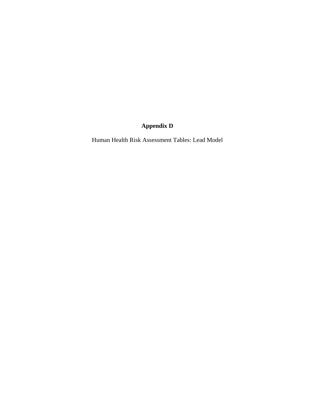## **Appendix D**

Human Health Risk Assessment Tables: Lead Model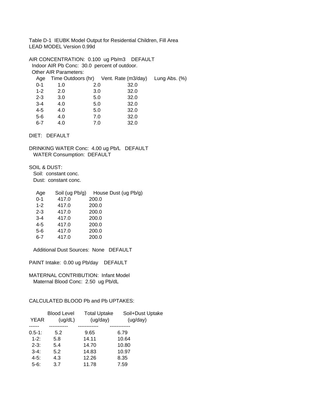Table D-1 IEUBK Model Output for Residential Children, Fill Area LEAD MODEL Version 0.99d

AIR CONCENTRATION: 0.100 ug Pb/m3 DEFAULT Indoor AIR Pb Conc: 30.0 percent of outdoor. Other AIR Parameters: Age Time Outdoors (hr) Vent. Rate (m3/day) Lung Abs. (%) 0-1 1.0 2.0 32.0 1-2 2.0 3.0 32.0 2-3 3.0 5.0 32.0 3-4 4.0 5.0 32.0 4-5 4.0 5.0 32.0 5-6 4.0 7.0 32.0 6-7 4.0 7.0 32.0

DIET: DEFAULT

DRINKING WATER Conc: 4.00 ug Pb/L DEFAULT WATER Consumption: DEFAULT

SOIL & DUST: Soil: constant conc. Dust: constant conc.

| Age     | Soil (ug Pb/g) | House Dust (ug Pb/g) |
|---------|----------------|----------------------|
| $0 - 1$ | 417.0          | 200.0                |
| $1 - 2$ | 417.0          | 200.0                |
| $2 - 3$ | 417.0          | 200.0                |
| $3 - 4$ | 417.0          | 200.0                |
| $4 - 5$ | 417.0          | 200.0                |
| $5-6$   | 417.0          | 200.0                |
| 6-7     | 417.0          | 200.0                |

Additional Dust Sources: None DEFAULT

PAINT Intake: 0.00 ug Pb/day DEFAULT

MATERNAL CONTRIBUTION: Infant Model Maternal Blood Conc: 2.50 ug Pb/dL

CALCULATED BLOOD Pb and Pb UPTAKES:

| <b>YEAR</b> | <b>Blood Level</b><br>(ug/dL) | <b>Total Uptake</b><br>(ug/day) | Soil+Dust Uptake<br>(ug/day) |
|-------------|-------------------------------|---------------------------------|------------------------------|
|             |                               |                                 |                              |
| $0.5 - 1:$  | 5.2                           | 9.65                            | 6.79                         |
| $1 - 2:$    | 5.8                           | 14.11                           | 10.64                        |
| $2 - 3:$    | 5.4                           | 14.70                           | 10.80                        |
| $3-4:$      | 5.2                           | 14.83                           | 10.97                        |
| $4 - 5:$    | 4.3                           | 12.26                           | 8.35                         |
| $5-6:$      | 3.7                           | 11.78                           | 7.59                         |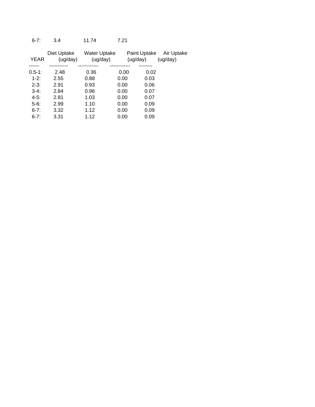### 6-7: 3.4 11.74 7.21

| <b>YEAR</b> | Diet Uptake<br>(ug/day) | <b>Water Uptake</b><br>(ug/day) |      | Paint Uptake<br>(ug/day) | Air Uptake<br>(ug/day) |
|-------------|-------------------------|---------------------------------|------|--------------------------|------------------------|
|             |                         |                                 |      |                          |                        |
| $0.5-1:$    | 2.48                    | 0.36                            | 0.00 | 0.02                     |                        |
| $1 - 2:$    | 2.55                    | 0.88                            | 0.00 | 0.03                     |                        |
| $2 - 3:$    | 2.91                    | 0.93                            | 0.00 | 0.06                     |                        |
| $3-4:$      | 2.84                    | 0.96                            | 0.00 | 0.07                     |                        |
| $4 - 5:$    | 2.81                    | 1.03                            | 0.00 | 0.07                     |                        |
| $5-6$ :     | 2.99                    | 1.10                            | 0.00 | 0.09                     |                        |
| $6 - 7$ :   | 3.32                    | 1.12                            | 0.00 | 0.09                     |                        |
| $6 - 7:$    | 3.31                    | 1.12                            | 0.00 | 0.09                     |                        |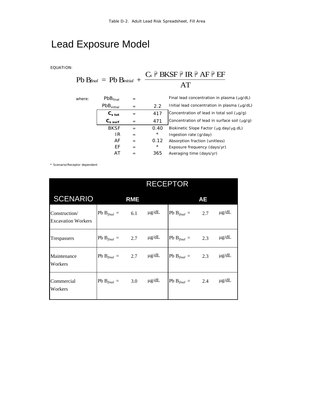# Lead Exposure Model

EQUATION:

#### $Pb B_{final} = Pb B_{initial} +$  $C$   $\mathcal{P}$  BKSF  $\mathcal{P}$  IR  $\mathcal{P}$  AF  $\mathcal{P}$  EF AT *final*  $=$   $P$ b  $B$ *initial*  $\mathbb{\mathbb{P}}\text{ BKSF } \mathbb{\mathbb{P}}\text{ IR } \mathbb{\mathbb{P}}\text{ AF } \mathbb{\mathbb{P}}$

| where: | PbB <sub>final</sub><br>$=$ |          |            | Final lead concentration in plasma (µg/dL)        |  |  |
|--------|-----------------------------|----------|------------|---------------------------------------------------|--|--|
|        | $PbB$ <sub>initial</sub>    | $\equiv$ | 2.2        | Initial lead concentration in plasma $(\mu q/dL)$ |  |  |
|        | $C_{s\ tot}$                | $=$      | 417        | Concentration of lead in total soil $(\mu q/q)$   |  |  |
|        | $C_{s \, surf}$             | $=$      | 471        | Concentration of lead in surface soil (µg/g)      |  |  |
|        | <b>BKSF</b>                 | $=$      | 0.40       | Biokinetic Slope Factor (µg.day/µg.dL)            |  |  |
|        | IR                          | $=$      | $^{\star}$ | Ingestion rate (g/day)                            |  |  |
|        | AF                          | $=$      | 0.12       | Absorption fraction (unitless)                    |  |  |
|        | ЕF                          | $=$      | $^{\star}$ | Exposure frequency (days/yr)                      |  |  |
|        | AT                          | $=$      | 365        | Averaging time (days/yr)                          |  |  |
|        |                             |          |            |                                                   |  |  |

\* Scenario/Receptor dependent

|                                            | <b>RECEPTOR</b>                        |            |  |                             |           |            |  |
|--------------------------------------------|----------------------------------------|------------|--|-----------------------------|-----------|------------|--|
| <b>SCENARIO</b>                            |                                        | <b>RME</b> |  |                             | <b>AE</b> |            |  |
| Construction/<br><b>Excavation Workers</b> | Pb B <sub>final</sub> = 6.1 $\mu$ g/dL |            |  | Pb $B_{final} = 2.7$        |           | $\mu$ g/dL |  |
| Trespassers                                | Pb B <sub>final</sub> = 2.7 $\mu$ g/dL |            |  | Pb $B_{final} = 2.3$        |           | $\mu$ g/dL |  |
| Maintenance<br>Workers                     | Pb B <sub>final</sub> = 2.7 $\mu$ g/dL |            |  | Pb B <sub>final</sub> = 2.3 |           | $\mu$ g/dL |  |
| Commercial<br>Workers                      | Pb B <sub>final</sub> = 3.0 $\mu$ g/dL |            |  | Pb $B_{final} = 2.4$        |           | $\mu$ g/dL |  |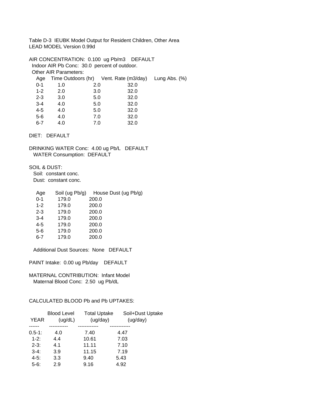Table D-3 IEUBK Model Output for Resident Children, Other Area LEAD MODEL Version 0.99d

AIR CONCENTRATION: 0.100 ug Pb/m3 DEFAULT Indoor AIR Pb Conc: 30.0 percent of outdoor. Other AIR Parameters: Age Time Outdoors (hr) Vent. Rate (m3/day) Lung Abs. (%) 0-1 1.0 2.0 32.0 1-2 2.0 3.0 32.0 2-3 3.0 5.0 32.0 3-4 4.0 5.0 32.0 4-5 4.0 5.0 32.0 5-6 4.0 7.0 32.0 6-7 4.0 7.0 32.0

DIET: DEFAULT

DRINKING WATER Conc: 4.00 ug Pb/L DEFAULT WATER Consumption: DEFAULT

SOIL & DUST: Soil: constant conc. Dust: constant conc.

| Age     | Soil (ug Pb/g) | House Dust (ug Pb/g) |
|---------|----------------|----------------------|
| $0 - 1$ | 179.0          | 200.0                |
| $1 - 2$ | 179.0          | 200.0                |
| $2 - 3$ | 179.0          | 200.0                |
| $3 - 4$ | 179.0          | 200.0                |
| $4 - 5$ | 179.0          | 200.0                |
| $5-6$   | 179.0          | 200.0                |
| 6-7     | 179.0          | 200.0                |

Additional Dust Sources: None DEFAULT

PAINT Intake: 0.00 ug Pb/day DEFAULT

MATERNAL CONTRIBUTION: Infant Model Maternal Blood Conc: 2.50 ug Pb/dL

### CALCULATED BLOOD Pb and Pb UPTAKES:

| <b>Blood Level</b> | <b>Total Uptake</b> | Soil+Dust Uptake |
|--------------------|---------------------|------------------|
| (ug/dL)            |                     | (ug/day)         |
|                    |                     |                  |
| 4.0                | 7.40                | 4.47             |
| 4.4                | 10.61               | 7.03             |
| 4.1                | 11.11               | 7.10             |
| 3.9                | 11.15               | 7.19             |
| 3.3                | 9.40                | 5.43             |
| 2.9                | 9.16                | 4.92             |
|                    |                     | (ug/day)         |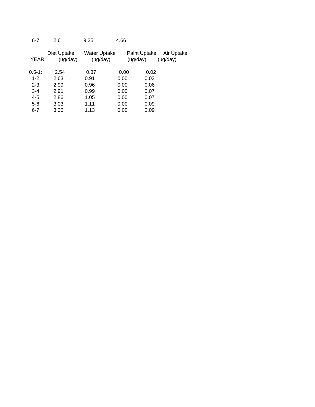6-7: 2.6 9.25 4.66

|             | Diet Uptake | <b>Water Uptake</b> |      | Paint Uptake | Air Uptake |
|-------------|-------------|---------------------|------|--------------|------------|
| <b>YEAR</b> | (ug/day)    | (ug/day)            |      | (ug/day)     | (ug/day)   |
|             |             |                     |      |              |            |
| $0.5-1:$    | 2.54        | 0.37                | 0.00 | 0.02         |            |
| $1 - 2:$    | 2.63        | 0.91                | 0.00 | 0.03         |            |
| $2 - 3:$    | 2.99        | 0.96                | 0.00 | 0.06         |            |
| $3-4:$      | 2.91        | 0.99                | 0.00 | 0.07         |            |
| $4-5:$      | 2.86        | 1.05                | 0.00 | 0.07         |            |
| $5-6$ :     | 3.03        | 1.11                | 0.00 | 0.09         |            |
| $6 - 7:$    | 3.36        | 1.13                | 0.00 | 0.09         |            |